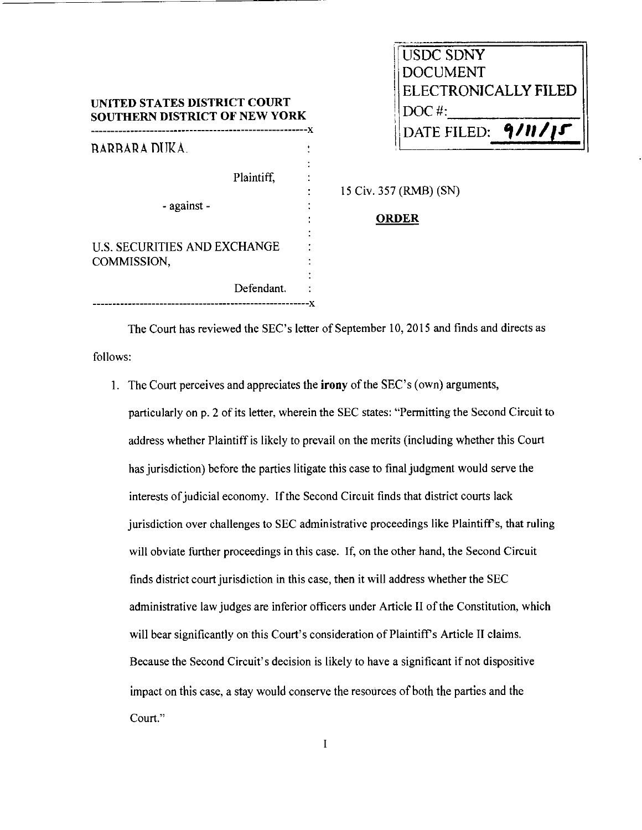|  | USDC SDNY                   |  |
|--|-----------------------------|--|
|  | <b>DOCUMENT</b>             |  |
|  | <b>ELECTRONICALLY FILED</b> |  |
|  | $DOC$ #:                    |  |
|  | $9/11/1$<br>DATE FILED:     |  |
|  |                             |  |

| <b>SOUTHERN DISTRICT OF NEW YORK</b>        |  |  |  |
|---------------------------------------------|--|--|--|
| RARRARA DUKA.                               |  |  |  |
| Plaintiff.                                  |  |  |  |
| - against -                                 |  |  |  |
| U.S. SECURITIES AND EXCHANGE<br>COMMISSION, |  |  |  |
| Defendant.                                  |  |  |  |
|                                             |  |  |  |

UNITED STATES DISTRICT COURT

15 Civ. 357 (RMB) (SN)

## **ORDER**

The Court has reviewed the SEC's letter of September 10, 2015 and finds and directs as follows:

I. The Court perceives and appreciates the irony of the SEC's (own) arguments,

particularly on p. 2 of its letter, wherein the SEC states: "Permitting the Second Circuit to address whether Plaintiff is likely to prevail on the merits (including whether this Court has jurisdiction) before the parties litigate this case to final judgment would serve the interests of judicial economy. If the Second Circuit finds that district courts lack jurisdiction over challenges to SEC administrative proceedings like Plaintiff's, that ruling will obviate further proceedings in this case. If, on the other hand, the Second Circuit finds district court jurisdiction in this case, then it will address whether the SEC administrative law judges are inferior officers under Article II of the Constitution, which will bear significantly on this Court's consideration of Plaintiff's Article II claims. Because the Second Circuit's decision is likely to have a significant if not dispositive impact on this case, a stay would conserve the resources of both the parties and the **Court."** 

 $\bf I$